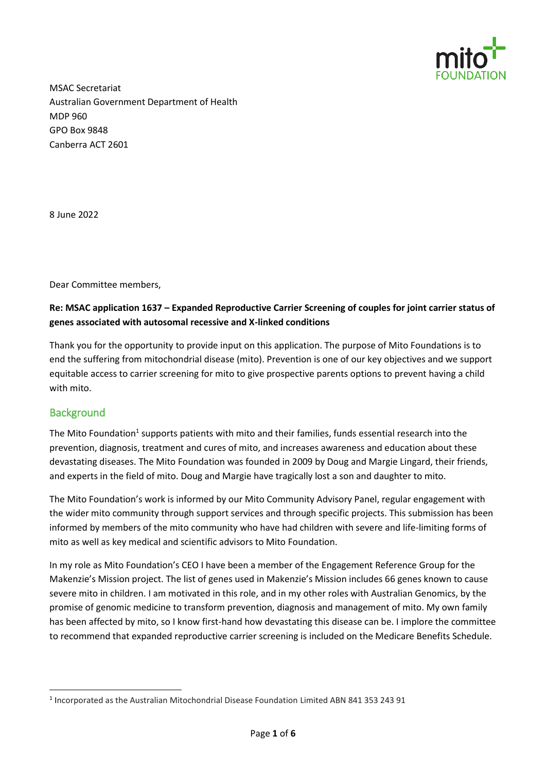

MSAC Secretariat Australian Government Department of Health MDP 960 GPO Box 9848 Canberra ACT 2601

8 June 2022

Dear Committee members,

## **Re: MSAC application 1637 – Expanded Reproductive Carrier Screening of couples for joint carrier status of genes associated with autosomal recessive and X-linked conditions**

Thank you for the opportunity to provide input on this application. The purpose of Mito Foundations is to end the suffering from mitochondrial disease (mito). Prevention is one of our key objectives and we support equitable access to carrier screening for mito to give prospective parents options to prevent having a child with mito.

# **Background**

**.** 

The Mito Foundation<sup>1</sup> supports patients with mito and their families, funds essential research into the prevention, diagnosis, treatment and cures of mito, and increases awareness and education about these devastating diseases. The Mito Foundation was founded in 2009 by Doug and Margie Lingard, their friends, and experts in the field of mito. Doug and Margie have tragically lost a son and daughter to mito.

The Mito Foundation's work is informed by our Mito Community Advisory Panel, regular engagement with the wider mito community through support services and through specific projects. This submission has been informed by members of the mito community who have had children with severe and life-limiting forms of mito as well as key medical and scientific advisors to Mito Foundation.

In my role as Mito Foundation's CEO I have been a member of the Engagement Reference Group for the Makenzie's Mission project. The list of genes used in Makenzie's Mission includes 66 genes known to cause severe mito in children. I am motivated in this role, and in my other roles with Australian Genomics, by the promise of genomic medicine to transform prevention, diagnosis and management of mito. My own family has been affected by mito, so I know first-hand how devastating this disease can be. I implore the committee to recommend that expanded reproductive carrier screening is included on the Medicare Benefits Schedule.

<sup>&</sup>lt;sup>1</sup> Incorporated as the Australian Mitochondrial Disease Foundation Limited ABN 841 353 243 91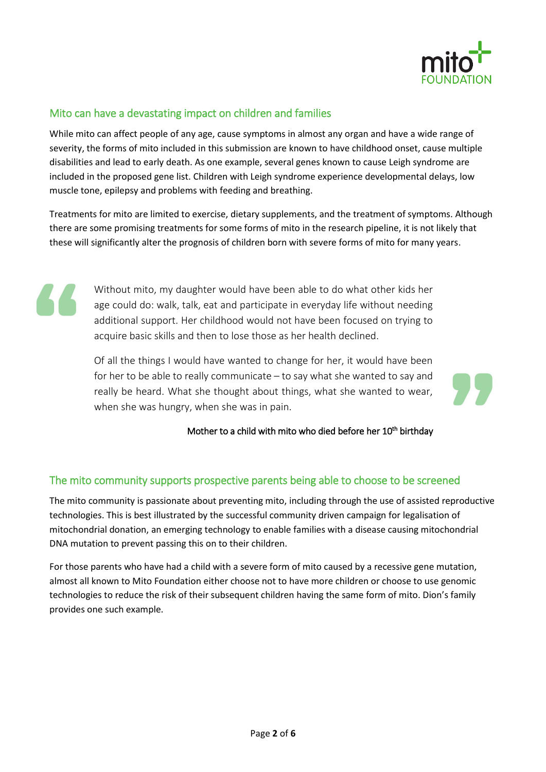

# Mito can have a devastating impact on children and families

While mito can affect people of any age, cause symptoms in almost any organ and have a wide range of severity, the forms of mito included in this submission are known to have childhood onset, cause multiple disabilities and lead to early death. As one example, several genes known to cause Leigh syndrome are included in the proposed gene list. Children with Leigh syndrome experience developmental delays, low muscle tone, epilepsy and problems with feeding and breathing.

Treatments for mito are limited to exercise, dietary supplements, and the treatment of symptoms. Although there are some promising treatments for some forms of mito in the research pipeline, it is not likely that these will significantly alter the prognosis of children born with severe forms of mito for many years.

Without mito, my daughter would have been able to do what other kids her age could do: walk, talk, eat and participate in everyday life without needing additional support. Her childhood would not have been focused on trying to acquire basic skills and then to lose those as her health declined.

Of all the things I would have wanted to change for her, it would have been for her to be able to really communicate – to say what she wanted to say and really be heard. What she thought about things, what she wanted to wear, when she was hungry, when she was in pain.

Mother to a child with mito who died before her 10<sup>th</sup> birthday

# The mito community supports prospective parents being able to choose to be screened

The mito community is passionate about preventing mito, including through the use of assisted reproductive technologies. This is best illustrated by the successful community driven campaign for legalisation of mitochondrial donation, an emerging technology to enable families with a disease causing mitochondrial DNA mutation to prevent passing this on to their children.

For those parents who have had a child with a severe form of mito caused by a recessive gene mutation, almost all known to Mito Foundation either choose not to have more children or choose to use genomic technologies to reduce the risk of their subsequent children having the same form of mito. Dion's family provides one such example.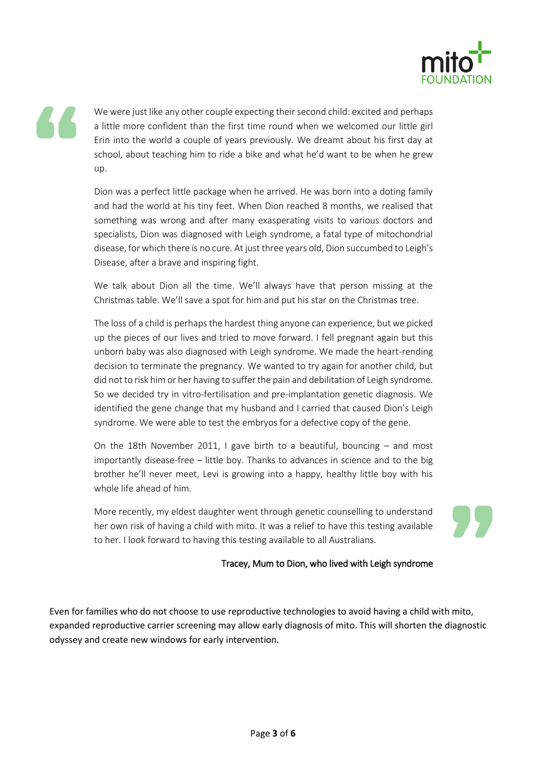

We were just like any other couple expecting their second child: excited and perhaps a little more confident than the first time round when we welcomed our little girl Erin into the world a couple of years previously. We dreamt about his first day at school, about teaching him to ride a bike and what he'd want to be when he grew up.

Dion was a perfect little package when he arrived. He was born into a doting family and had the world at his tiny feet. When Dion reached 8 months, we realised that something was wrong and after many exasperating visits to various doctors and specialists, Dion was diagnosed with Leigh syndrome, a fatal type of mitochondrial disease, for which there is no cure. At just three years old, Dion succumbed to Leigh's Disease, after a brave and inspiring fight.

We talk about Dion all the time. We'll always have that person missing at the Christmas table. We'll save a spot for him and put his star on the Christmas tree.

The loss of a child is perhaps the hardest thing anyone can experience, but we picked up the pieces of our lives and tried to move forward. I fell pregnant again but this unborn baby was also diagnosed with Leigh syndrome. We made the heart-rending decision to terminate the pregnancy. We wanted to try again for another child, but did not to risk him or her having to suffer the pain and debilitation of Leigh syndrome. So we decided try in vitro-fertilisation and pre-implantation genetic diagnosis. We identified the gene change that my husband and I carried that caused Dion's Leigh syndrome. We were able to test the embryos for a defective copy of the gene.

On the 18th November 2011, I gave birth to a beautiful, bouncing – and most importantly disease-free – little boy. Thanks to advances in science and to the big brother he'll never meet, Levi is growing into a happy, healthy little boy with his whole life ahead of him.

More recently, my eldest daughter went through genetic counselling to understand her own risk of having a child with mito. It was a relief to have this testing available to her. I look forward to having this testing available to all Australians.

#### Tracey, Mum to Dion, who lived with Leigh syndrome

Even for families who do not choose to use reproductive technologies to avoid having a child with mito, expanded reproductive carrier screening may allow early diagnosis of mito. This will shorten the diagnostic odyssey and create new windows for early intervention.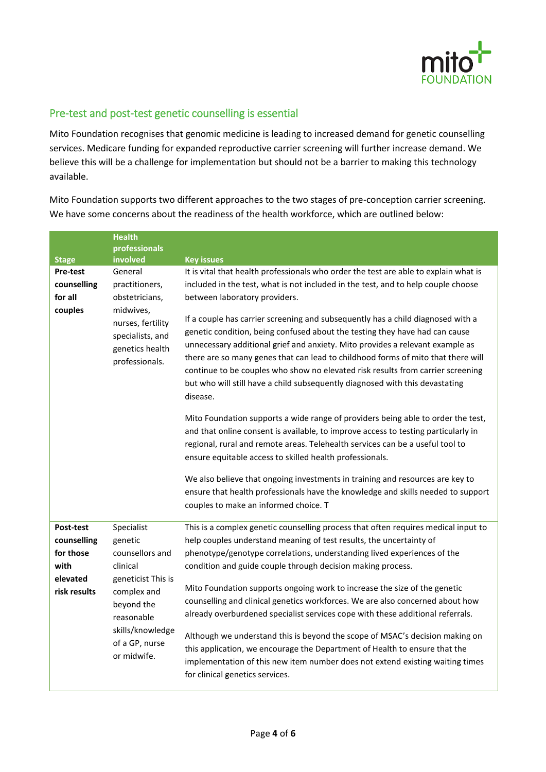

# Pre-test and post-test genetic counselling is essential

Mito Foundation recognises that genomic medicine is leading to increased demand for genetic counselling services. Medicare funding for expanded reproductive carrier screening will further increase demand. We believe this will be a challenge for implementation but should not be a barrier to making this technology available.

Mito Foundation supports two different approaches to the two stages of pre-conception carrier screening. We have some concerns about the readiness of the health workforce, which are outlined below:

|                                                                           | <b>Health</b>                                                                                                                                                              |                                                                                                                                                                                                                                                                                                                                                                                                                                                                                                                                                                                                                                                                                                                                                                                                                                       |
|---------------------------------------------------------------------------|----------------------------------------------------------------------------------------------------------------------------------------------------------------------------|---------------------------------------------------------------------------------------------------------------------------------------------------------------------------------------------------------------------------------------------------------------------------------------------------------------------------------------------------------------------------------------------------------------------------------------------------------------------------------------------------------------------------------------------------------------------------------------------------------------------------------------------------------------------------------------------------------------------------------------------------------------------------------------------------------------------------------------|
| <b>Stage</b>                                                              | professionals<br>involved                                                                                                                                                  | <b>Key issues</b>                                                                                                                                                                                                                                                                                                                                                                                                                                                                                                                                                                                                                                                                                                                                                                                                                     |
| <b>Pre-test</b><br>counselling<br>for all<br>couples                      | General<br>practitioners,<br>obstetricians,<br>midwives,<br>nurses, fertility<br>specialists, and<br>genetics health<br>professionals.                                     | It is vital that health professionals who order the test are able to explain what is<br>included in the test, what is not included in the test, and to help couple choose<br>between laboratory providers.<br>If a couple has carrier screening and subsequently has a child diagnosed with a<br>genetic condition, being confused about the testing they have had can cause<br>unnecessary additional grief and anxiety. Mito provides a relevant example as<br>there are so many genes that can lead to childhood forms of mito that there will<br>continue to be couples who show no elevated risk results from carrier screening<br>but who will still have a child subsequently diagnosed with this devastating<br>disease.                                                                                                      |
|                                                                           |                                                                                                                                                                            | Mito Foundation supports a wide range of providers being able to order the test,<br>and that online consent is available, to improve access to testing particularly in<br>regional, rural and remote areas. Telehealth services can be a useful tool to<br>ensure equitable access to skilled health professionals.<br>We also believe that ongoing investments in training and resources are key to<br>ensure that health professionals have the knowledge and skills needed to support<br>couples to make an informed choice. T                                                                                                                                                                                                                                                                                                     |
| Post-test<br>counselling<br>for those<br>with<br>elevated<br>risk results | Specialist<br>genetic<br>counsellors and<br>clinical<br>geneticist This is<br>complex and<br>beyond the<br>reasonable<br>skills/knowledge<br>of a GP, nurse<br>or midwife. | This is a complex genetic counselling process that often requires medical input to<br>help couples understand meaning of test results, the uncertainty of<br>phenotype/genotype correlations, understanding lived experiences of the<br>condition and guide couple through decision making process.<br>Mito Foundation supports ongoing work to increase the size of the genetic<br>counselling and clinical genetics workforces. We are also concerned about how<br>already overburdened specialist services cope with these additional referrals.<br>Although we understand this is beyond the scope of MSAC's decision making on<br>this application, we encourage the Department of Health to ensure that the<br>implementation of this new item number does not extend existing waiting times<br>for clinical genetics services. |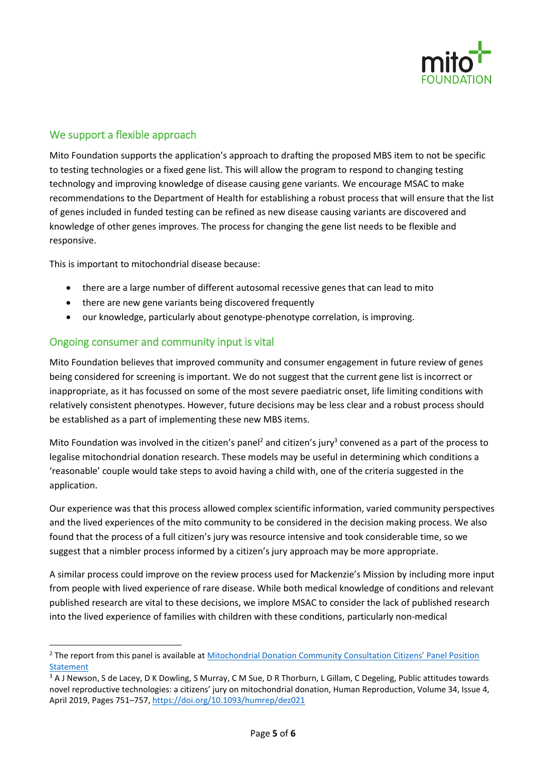

# We support a flexible approach

Mito Foundation supports the application's approach to drafting the proposed MBS item to not be specific to testing technologies or a fixed gene list. This will allow the program to respond to changing testing technology and improving knowledge of disease causing gene variants. We encourage MSAC to make recommendations to the Department of Health for establishing a robust process that will ensure that the list of genes included in funded testing can be refined as new disease causing variants are discovered and knowledge of other genes improves. The process for changing the gene list needs to be flexible and responsive.

This is important to mitochondrial disease because:

- there are a large number of different autosomal recessive genes that can lead to mito
- there are new gene variants being discovered frequently
- our knowledge, particularly about genotype-phenotype correlation, is improving.

### Ongoing consumer and community input is vital

 $\overline{a}$ 

Mito Foundation believes that improved community and consumer engagement in future review of genes being considered for screening is important. We do not suggest that the current gene list is incorrect or inappropriate, as it has focussed on some of the most severe paediatric onset, life limiting conditions with relatively consistent phenotypes. However, future decisions may be less clear and a robust process should be established as a part of implementing these new MBS items.

Mito Foundation was involved in the citizen's panel<sup>2</sup> and citizen's jury<sup>3</sup> convened as a part of the process to legalise mitochondrial donation research. These models may be useful in determining which conditions a 'reasonable' couple would take steps to avoid having a child with, one of the criteria suggested in the application.

Our experience was that this process allowed complex scientific information, varied community perspectives and the lived experiences of the mito community to be considered in the decision making process. We also found that the process of a full citizen's jury was resource intensive and took considerable time, so we suggest that a nimbler process informed by a citizen's jury approach may be more appropriate.

A similar process could improve on the review process used for Mackenzie's Mission by including more input from people with lived experience of rare disease. While both medical knowledge of conditions and relevant published research are vital to these decisions, we implore MSAC to consider the lack of published research into the lived experience of families with children with these conditions, particularly non-medical

<sup>&</sup>lt;sup>2</sup> The report from this panel is available at Mitochondrial Donation Community Consultation Citizens' Panel Position Statement

<sup>&</sup>lt;sup>3</sup> A J Newson, S de Lacey, D K Dowling, S Murray, C M Sue, D R Thorburn, L Gillam, C Degeling, Public attitudes towards novel reproductive technologies: a citizens' jury on mitochondrial donation, Human Reproduction, Volume 34, Issue 4, April 2019, Pages 751–757, https://doi.org/10.1093/humrep/dez021